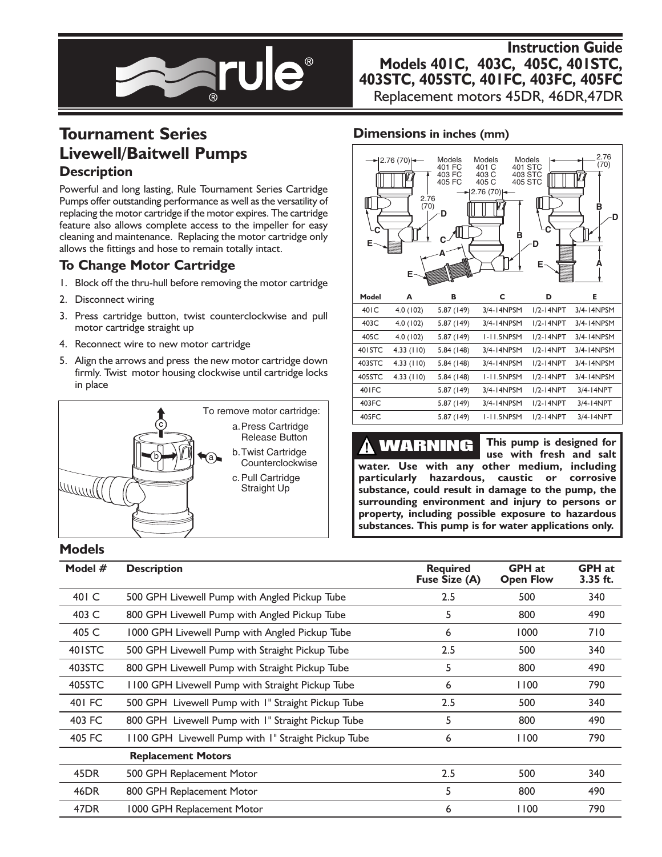

# **Instruction Guide Models 401C, 403C, 405C, 401STC, 403STC, 405STC, 401FC, 403FC, 405FC**

Replacement motors 45DR, 46DR,47DR

# **Tournament Series Livewell/Baitwell Pumps Description**

Powerful and long lasting, Rule Tournament Series Cartridge Pumps offer outstanding performance as well as the versatility of replacing the motor cartridge if the motor expires. The cartridge feature also allows complete access to the impeller for easy cleaning and maintenance. Replacing the motor cartridge only allows the fittings and hose to remain totally intact.

### **To Change Motor Cartridge**

- 1. Block off the thru-hull before removing the motor cartridge
- 2. Disconnect wiring
- 3. Press cartridge button, twist counterclockwise and pull motor cartridge straight up
- 4. Reconnect wire to new motor cartridge
- 5. Align the arrows and press the new motor cartridge down firmly. Twist motor housing clockwise until cartridge locks in place



### **Dimensions in inches (mm)**



**This pump is designed for** WARNING Ţ **use with fresh and salt water. Use with any other medium, including particularly hazardous, caustic or corrosive substance, could result in damage to the pump, the surrounding environment and injury to persons or property, including possible exposure to hazardous substances. This pump is for water applications only.**

#### **Models**

| Model $#$          | <b>Description</b>                                  | <b>Required</b><br>Fuse Size (A) | <b>GPH</b> at<br><b>Open Flow</b> | <b>GPH</b> at<br>3.35 ft. |
|--------------------|-----------------------------------------------------|----------------------------------|-----------------------------------|---------------------------|
| 401 C              | 500 GPH Livewell Pump with Angled Pickup Tube       | 2.5                              | 500                               | 340                       |
| 403 C              | 800 GPH Livewell Pump with Angled Pickup Tube       | 5                                | 800                               | 490                       |
| 405 C              | 1000 GPH Livewell Pump with Angled Pickup Tube      | 6                                | 1000                              | 710                       |
| 40 <sub>ISTC</sub> | 500 GPH Livewell Pump with Straight Pickup Tube     | 2.5                              | 500                               | 340                       |
| 403STC             | 800 GPH Livewell Pump with Straight Pickup Tube     | 5                                | 800                               | 490                       |
| 405STC             | 1100 GPH Livewell Pump with Straight Pickup Tube    | 6                                | 1100                              | 790                       |
| 401 FC             | 500 GPH Livewell Pump with I" Straight Pickup Tube  | 2.5                              | 500                               | 340                       |
| 403 FC             | 800 GPH Livewell Pump with I" Straight Pickup Tube  | 5                                | 800                               | 490                       |
| 405 FC             | 1100 GPH Livewell Pump with I" Straight Pickup Tube | 6                                | 1100                              | 790                       |
|                    | <b>Replacement Motors</b>                           |                                  |                                   |                           |
| 45DR               | 500 GPH Replacement Motor                           | 2.5                              | 500                               | 340                       |
| 46DR               | 800 GPH Replacement Motor                           | 5                                | 800                               | 490                       |
| 47DR               | 1000 GPH Replacement Motor                          | 6                                | 1100                              | 790                       |